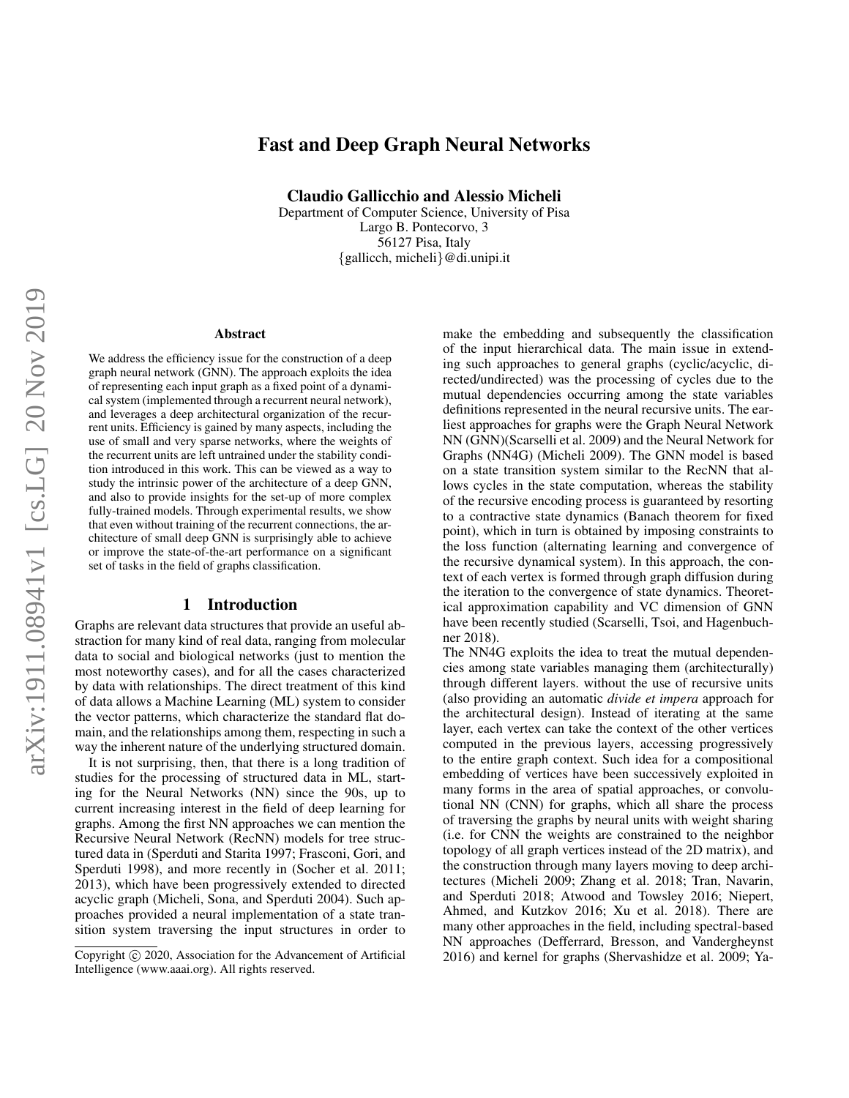# Fast and Deep Graph Neural Networks

Claudio Gallicchio and Alessio Micheli

Department of Computer Science, University of Pisa Largo B. Pontecorvo, 3 56127 Pisa, Italy {gallicch, micheli}@di.unipi.it

#### **Abstract**

We address the efficiency issue for the construction of a deep graph neural network (GNN). The approach exploits the idea of representing each input graph as a fixed point of a dynamical system (implemented through a recurrent neural network), and leverages a deep architectural organization of the recurrent units. Efficiency is gained by many aspects, including the use of small and very sparse networks, where the weights of the recurrent units are left untrained under the stability condition introduced in this work. This can be viewed as a way to study the intrinsic power of the architecture of a deep GNN, and also to provide insights for the set-up of more complex fully-trained models. Through experimental results, we show that even without training of the recurrent connections, the architecture of small deep GNN is surprisingly able to achieve or improve the state-of-the-art performance on a significant set of tasks in the field of graphs classification.

### 1 Introduction

Graphs are relevant data structures that provide an useful abstraction for many kind of real data, ranging from molecular data to social and biological networks (just to mention the most noteworthy cases), and for all the cases characterized by data with relationships. The direct treatment of this kind of data allows a Machine Learning (ML) system to consider the vector patterns, which characterize the standard flat domain, and the relationships among them, respecting in such a way the inherent nature of the underlying structured domain.

It is not surprising, then, that there is a long tradition of studies for the processing of structured data in ML, starting for the Neural Networks (NN) since the 90s, up to current increasing interest in the field of deep learning for graphs. Among the first NN approaches we can mention the Recursive Neural Network (RecNN) models for tree structured data in (Sperduti and Starita 1997; Frasconi, Gori, and Sperduti 1998), and more recently in (Socher et al. 2011; 2013), which have been progressively extended to directed acyclic graph (Micheli, Sona, and Sperduti 2004). Such approaches provided a neural implementation of a state transition system traversing the input structures in order to make the embedding and subsequently the classification of the input hierarchical data. The main issue in extending such approaches to general graphs (cyclic/acyclic, directed/undirected) was the processing of cycles due to the mutual dependencies occurring among the state variables definitions represented in the neural recursive units. The earliest approaches for graphs were the Graph Neural Network NN (GNN)(Scarselli et al. 2009) and the Neural Network for Graphs (NN4G) (Micheli 2009). The GNN model is based on a state transition system similar to the RecNN that allows cycles in the state computation, whereas the stability of the recursive encoding process is guaranteed by resorting to a contractive state dynamics (Banach theorem for fixed point), which in turn is obtained by imposing constraints to the loss function (alternating learning and convergence of the recursive dynamical system). In this approach, the context of each vertex is formed through graph diffusion during the iteration to the convergence of state dynamics. Theoretical approximation capability and VC dimension of GNN have been recently studied (Scarselli, Tsoi, and Hagenbuchner 2018).

The NN4G exploits the idea to treat the mutual dependencies among state variables managing them (architecturally) through different layers. without the use of recursive units (also providing an automatic *divide et impera* approach for the architectural design). Instead of iterating at the same layer, each vertex can take the context of the other vertices computed in the previous layers, accessing progressively to the entire graph context. Such idea for a compositional embedding of vertices have been successively exploited in many forms in the area of spatial approaches, or convolutional NN (CNN) for graphs, which all share the process of traversing the graphs by neural units with weight sharing (i.e. for CNN the weights are constrained to the neighbor topology of all graph vertices instead of the 2D matrix), and the construction through many layers moving to deep architectures (Micheli 2009; Zhang et al. 2018; Tran, Navarin, and Sperduti 2018; Atwood and Towsley 2016; Niepert, Ahmed, and Kutzkov 2016; Xu et al. 2018). There are many other approaches in the field, including spectral-based NN approaches (Defferrard, Bresson, and Vandergheynst 2016) and kernel for graphs (Shervashidze et al. 2009; Ya-

Copyright (c) 2020, Association for the Advancement of Artificial Intelligence (www.aaai.org). All rights reserved.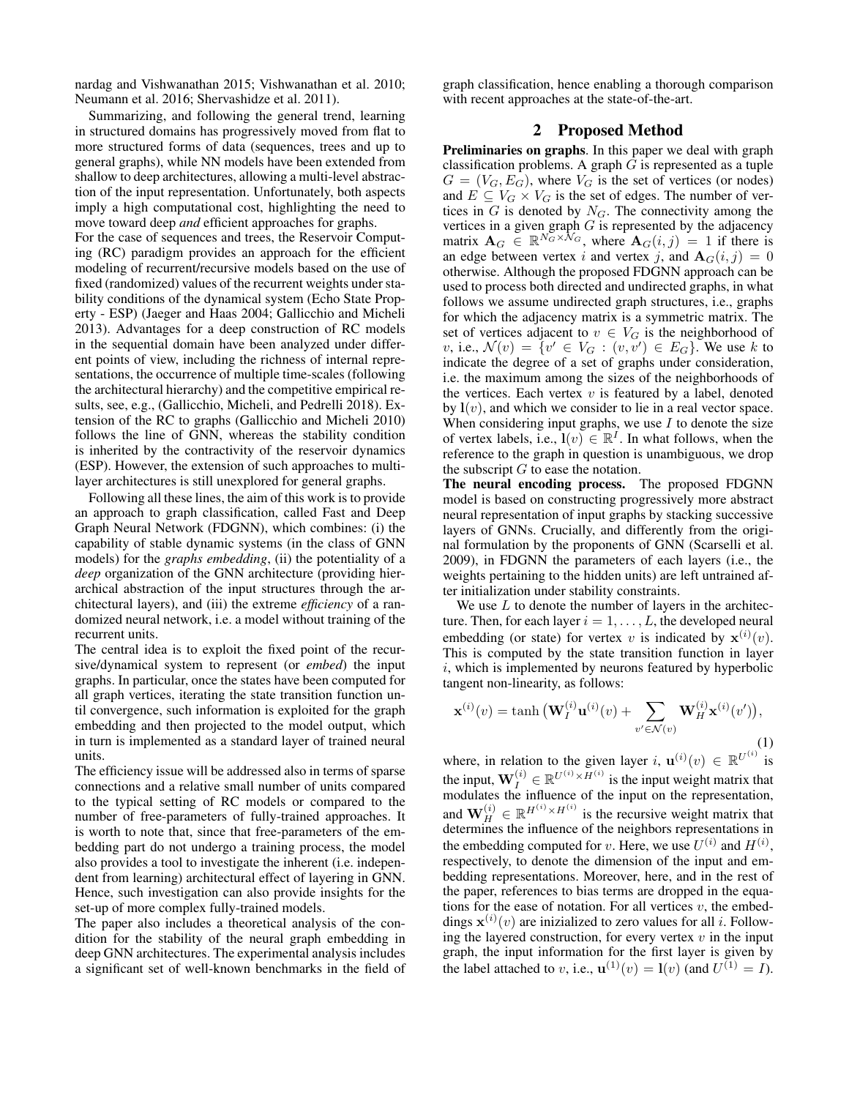nardag and Vishwanathan 2015; Vishwanathan et al. 2010; Neumann et al. 2016; Shervashidze et al. 2011).

Summarizing, and following the general trend, learning in structured domains has progressively moved from flat to more structured forms of data (sequences, trees and up to general graphs), while NN models have been extended from shallow to deep architectures, allowing a multi-level abstraction of the input representation. Unfortunately, both aspects imply a high computational cost, highlighting the need to move toward deep *and* efficient approaches for graphs.

For the case of sequences and trees, the Reservoir Computing (RC) paradigm provides an approach for the efficient modeling of recurrent/recursive models based on the use of fixed (randomized) values of the recurrent weights under stability conditions of the dynamical system (Echo State Property - ESP) (Jaeger and Haas 2004; Gallicchio and Micheli 2013). Advantages for a deep construction of RC models in the sequential domain have been analyzed under different points of view, including the richness of internal representations, the occurrence of multiple time-scales (following the architectural hierarchy) and the competitive empirical results, see, e.g., (Gallicchio, Micheli, and Pedrelli 2018). Extension of the RC to graphs (Gallicchio and Micheli 2010) follows the line of GNN, whereas the stability condition is inherited by the contractivity of the reservoir dynamics (ESP). However, the extension of such approaches to multilayer architectures is still unexplored for general graphs.

Following all these lines, the aim of this work is to provide an approach to graph classification, called Fast and Deep Graph Neural Network (FDGNN), which combines: (i) the capability of stable dynamic systems (in the class of GNN models) for the *graphs embedding*, (ii) the potentiality of a *deep* organization of the GNN architecture (providing hierarchical abstraction of the input structures through the architectural layers), and (iii) the extreme *efficiency* of a randomized neural network, i.e. a model without training of the recurrent units.

The central idea is to exploit the fixed point of the recursive/dynamical system to represent (or *embed*) the input graphs. In particular, once the states have been computed for all graph vertices, iterating the state transition function until convergence, such information is exploited for the graph embedding and then projected to the model output, which in turn is implemented as a standard layer of trained neural units.

The efficiency issue will be addressed also in terms of sparse connections and a relative small number of units compared to the typical setting of RC models or compared to the number of free-parameters of fully-trained approaches. It is worth to note that, since that free-parameters of the embedding part do not undergo a training process, the model also provides a tool to investigate the inherent (i.e. independent from learning) architectural effect of layering in GNN. Hence, such investigation can also provide insights for the set-up of more complex fully-trained models.

The paper also includes a theoretical analysis of the condition for the stability of the neural graph embedding in deep GNN architectures. The experimental analysis includes a significant set of well-known benchmarks in the field of graph classification, hence enabling a thorough comparison with recent approaches at the state-of-the-art.

## 2 Proposed Method

Preliminaries on graphs. In this paper we deal with graph classification problems. A graph  $G$  is represented as a tuple  $G = (V_G, E_G)$ , where  $V_G$  is the set of vertices (or nodes) and  $E \subseteq V_G \times V_G$  is the set of edges. The number of vertices in  $G$  is denoted by  $N_G$ . The connectivity among the vertices in a given graph  $G$  is represented by the adjacency matrix  $\mathbf{A}_G \in \mathbb{R}^{N_G \times N_G}$ , where  $\mathbf{A}_G(i,j) = 1$  if there is an edge between vertex i and vertex j, and  $A_G(i, j) = 0$ otherwise. Although the proposed FDGNN approach can be used to process both directed and undirected graphs, in what follows we assume undirected graph structures, i.e., graphs for which the adjacency matrix is a symmetric matrix. The set of vertices adjacent to  $v \in V_G$  is the neighborhood of v, i.e.,  $\mathcal{N}(v) = \{v' \in V_G : (v, v') \in E_G\}$ . We use k to indicate the degree of a set of graphs under consideration, i.e. the maximum among the sizes of the neighborhoods of the vertices. Each vertex  $v$  is featured by a label, denoted by  $\mathbf{l}(v)$ , and which we consider to lie in a real vector space. When considering input graphs, we use  $I$  to denote the size of vertex labels, i.e.,  $\mathbf{l}(v) \in \mathbb{R}^{\mathcal{T}}$ . In what follows, when the reference to the graph in question is unambiguous, we drop the subscript  $G$  to ease the notation.

The neural encoding process. The proposed FDGNN model is based on constructing progressively more abstract neural representation of input graphs by stacking successive layers of GNNs. Crucially, and differently from the original formulation by the proponents of GNN (Scarselli et al. 2009), in FDGNN the parameters of each layers (i.e., the weights pertaining to the hidden units) are left untrained after initialization under stability constraints.

We use  $L$  to denote the number of layers in the architecture. Then, for each layer  $i = 1, \ldots, L$ , the developed neural embedding (or state) for vertex v is indicated by  $\mathbf{x}^{(i)}(v)$ . This is computed by the state transition function in layer  $i$ , which is implemented by neurons featured by hyperbolic tangent non-linearity, as follows:

$$
\mathbf{x}^{(i)}(v) = \tanh\left(\mathbf{W}_I^{(i)}\mathbf{u}^{(i)}(v) + \sum_{v' \in \mathcal{N}(v)} \mathbf{W}_H^{(i)}\mathbf{x}^{(i)}(v')\right),\tag{1}
$$

where, in relation to the given layer i,  $\mathbf{u}^{(i)}(v) \in \mathbb{R}^{U^{(i)}}$  is the input,  $\mathbf{W}_{I}^{(i)} \in \mathbb{R}^{U^{(i)} \times H^{(i)}}$  is the input weight matrix that modulates the influence of the input on the representation, and  $\mathbf{W}_{H}^{(i)} \in \mathbb{R}^{H^{(i)} \times H^{(i)}}$  is the recursive weight matrix that determines the influence of the neighbors representations in the embedding computed for v. Here, we use  $U^{(i)}$  and  $H^{(i)}$ , respectively, to denote the dimension of the input and embedding representations. Moreover, here, and in the rest of the paper, references to bias terms are dropped in the equations for the ease of notation. For all vertices  $v$ , the embeddings  $\mathbf{x}^{(i)}(v)$  are inizialized to zero values for all i. Following the layered construction, for every vertex  $v$  in the input graph, the input information for the first layer is given by the label attached to v, i.e.,  $\mathbf{u}^{(1)}(v) = \mathbf{l}(v)$  (and  $U^{(1)} = I$ ).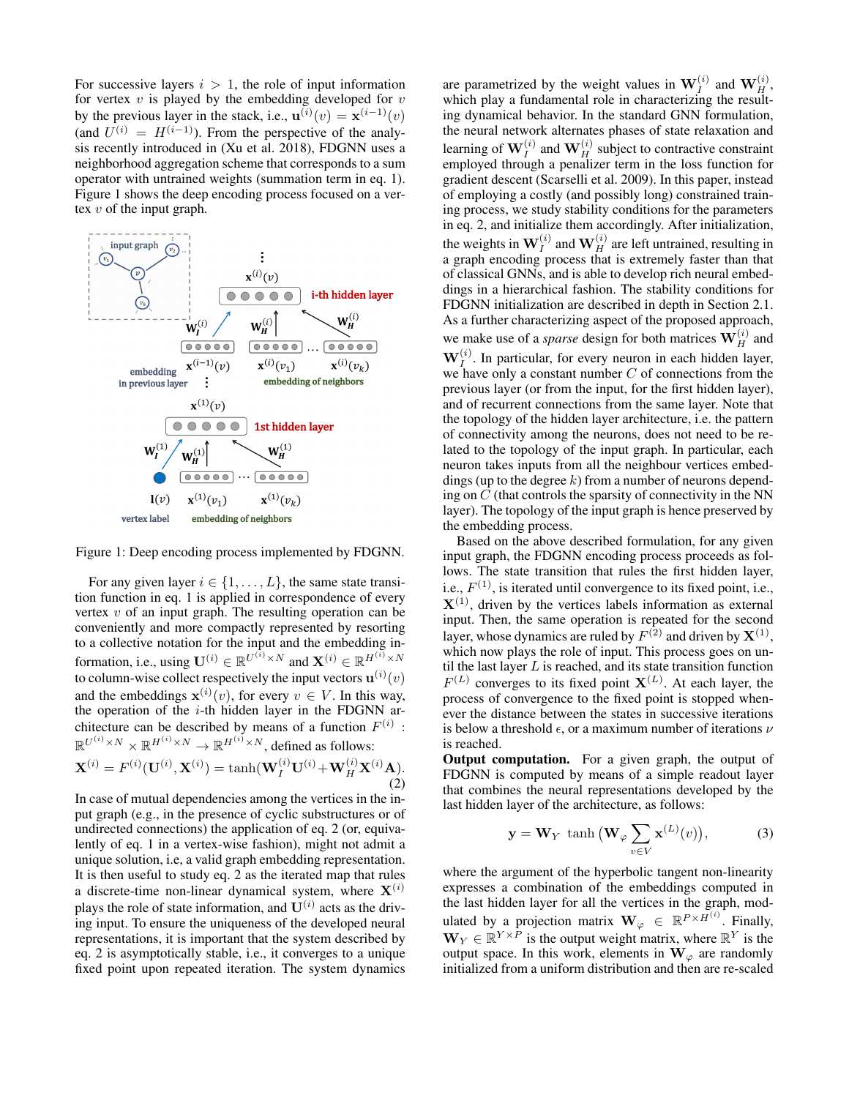For successive layers  $i > 1$ , the role of input information for vertex  $v$  is played by the embedding developed for  $v$ by the previous layer in the stack, i.e.,  $\mathbf{u}^{(i)}(v) = \mathbf{x}^{(i-1)}(v)$ (and  $U^{(i)} = H^{(i-1)}$ ). From the perspective of the analysis recently introduced in (Xu et al. 2018), FDGNN uses a neighborhood aggregation scheme that corresponds to a sum operator with untrained weights (summation term in eq. 1). Figure 1 shows the deep encoding process focused on a vertex  $v$  of the input graph.



Figure 1: Deep encoding process implemented by FDGNN.

For any given layer  $i \in \{1, \ldots, L\}$ , the same state transition function in eq. 1 is applied in correspondence of every vertex  $v$  of an input graph. The resulting operation can be conveniently and more compactly represented by resorting to a collective notation for the input and the embedding information, i.e., using  $\mathbf{U}^{(i)} \in \mathbb{R}^{U^{(i)} \times N}$  and  $\mathbf{X}^{(i)} \in \mathbb{R}^{H^{(i)} \times N}$ to column-wise collect respectively the input vectors  $\mathbf{u}^{(i)}(v)$ and the embeddings  $\mathbf{x}^{(i)}(v)$ , for every  $v \in V$ . In this way, the operation of the  $i$ -th hidden layer in the FDGNN architecture can be described by means of a function  $F^{(i)}$ :  $\mathbb{R}^{U^{(i)} \times N} \times \mathbb{R}^{H^{(i)} \times N} \to \mathbb{R}^{H^{(i)} \times N}$ , defined as follows:

$$
\mathbf{X}^{(i)} = F^{(i)}(\mathbf{U}^{(i)}, \mathbf{X}^{(i)}) = \tanh(\mathbf{W}_I^{(i)} \mathbf{U}^{(i)} + \mathbf{W}_H^{(i)} \mathbf{X}^{(i)} \mathbf{A}).
$$
\n(2)

In case of mutual dependencies among the vertices in the input graph (e.g., in the presence of cyclic substructures or of undirected connections) the application of eq. 2 (or, equivalently of eq. 1 in a vertex-wise fashion), might not admit a unique solution, i.e, a valid graph embedding representation. It is then useful to study eq. 2 as the iterated map that rules a discrete-time non-linear dynamical system, where  $X^{(i)}$ plays the role of state information, and  $\mathbf{U}^{(i)}$  acts as the driving input. To ensure the uniqueness of the developed neural representations, it is important that the system described by eq. 2 is asymptotically stable, i.e., it converges to a unique fixed point upon repeated iteration. The system dynamics

are parametrized by the weight values in  $\mathbf{W}_I^{(i)}$  and  $\mathbf{W}_H^{(i)}$ , which play a fundamental role in characterizing the resulting dynamical behavior. In the standard GNN formulation, the neural network alternates phases of state relaxation and learning of  $\mathbf{W}_I^{(i)}$  and  $\mathbf{W}_H^{(i)}$  subject to contractive constraint employed through a penalizer term in the loss function for gradient descent (Scarselli et al. 2009). In this paper, instead of employing a costly (and possibly long) constrained training process, we study stability conditions for the parameters in eq. 2, and initialize them accordingly. After initialization, the weights in  $\mathbf{W}_I^{(i)}$  and  $\mathbf{W}_H^{(i)}$  are left untrained, resulting in a graph encoding process that is extremely faster than that of classical GNNs, and is able to develop rich neural embeddings in a hierarchical fashion. The stability conditions for FDGNN initialization are described in depth in Section 2.1. As a further characterizing aspect of the proposed approach, we make use of a *sparse* design for both matrices  $\mathbf{W}_{H}^{(i)}$  and  $\mathbf{W}_I^{(i)}$ . In particular, for every neuron in each hidden layer, we have only a constant number  $C$  of connections from the previous layer (or from the input, for the first hidden layer), and of recurrent connections from the same layer. Note that the topology of the hidden layer architecture, i.e. the pattern of connectivity among the neurons, does not need to be related to the topology of the input graph. In particular, each neuron takes inputs from all the neighbour vertices embeddings (up to the degree  $k$ ) from a number of neurons depending on  $C$  (that controls the sparsity of connectivity in the NN layer). The topology of the input graph is hence preserved by the embedding process.

Based on the above described formulation, for any given input graph, the FDGNN encoding process proceeds as follows. The state transition that rules the first hidden layer, i.e.,  $F^{(1)}$ , is iterated until convergence to its fixed point, i.e.,  $X^{(1)}$ , driven by the vertices labels information as external input. Then, the same operation is repeated for the second layer, whose dynamics are ruled by  $F^{(2)}$  and driven by  $\mathbf{X}^{(1)},$ which now plays the role of input. This process goes on until the last layer  $L$  is reached, and its state transition function  $F^{(L)}$  converges to its fixed point  $X^{(L)}$ . At each layer, the process of convergence to the fixed point is stopped whenever the distance between the states in successive iterations is below a threshold  $\epsilon$ , or a maximum number of iterations  $\nu$ is reached.

Output computation. For a given graph, the output of FDGNN is computed by means of a simple readout layer that combines the neural representations developed by the last hidden layer of the architecture, as follows:

$$
\mathbf{y} = \mathbf{W}_Y \tanh\left(\mathbf{W}_{\varphi} \sum_{v \in V} \mathbf{x}^{(L)}(v)\right),\tag{3}
$$

where the argument of the hyperbolic tangent non-linearity expresses a combination of the embeddings computed in the last hidden layer for all the vertices in the graph, modulated by a projection matrix  $\mathbf{W}_{\varphi} \in \mathbb{R}^{P \times H^{(i)}}$ . Finally,  $\mathbf{W}_Y \in \mathbb{R}^{Y \times \bar{P}}$  is the output weight matrix, where  $\mathbb{R}^Y$  is the output space. In this work, elements in  $W_{\varphi}$  are randomly initialized from a uniform distribution and then are re-scaled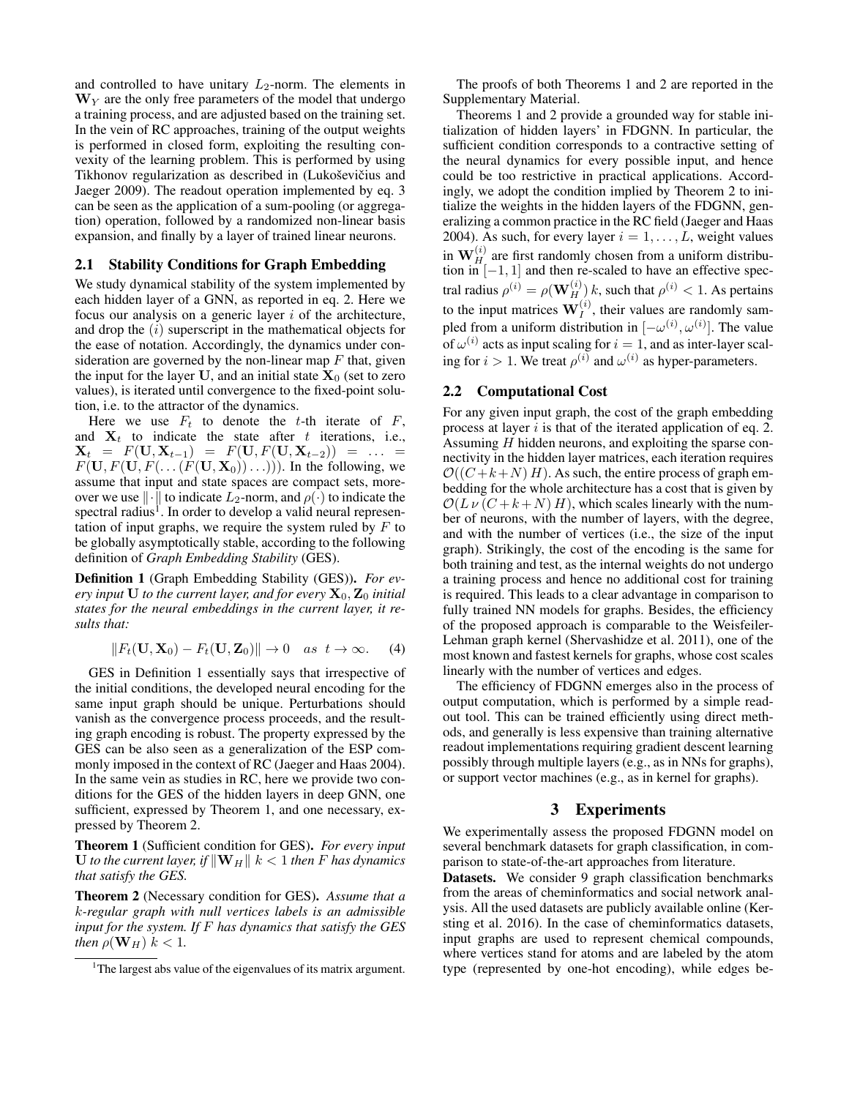and controlled to have unitary  $L_2$ -norm. The elements in  $W<sub>Y</sub>$  are the only free parameters of the model that undergo a training process, and are adjusted based on the training set. In the vein of RC approaches, training of the output weights is performed in closed form, exploiting the resulting convexity of the learning problem. This is performed by using Tikhonov regularization as described in (Lukoševičius and Jaeger 2009). The readout operation implemented by eq. 3 can be seen as the application of a sum-pooling (or aggregation) operation, followed by a randomized non-linear basis expansion, and finally by a layer of trained linear neurons.

#### 2.1 Stability Conditions for Graph Embedding

We study dynamical stability of the system implemented by each hidden layer of a GNN, as reported in eq. 2. Here we focus our analysis on a generic layer  $i$  of the architecture, and drop the  $(i)$  superscript in the mathematical objects for the ease of notation. Accordingly, the dynamics under consideration are governed by the non-linear map  $F$  that, given the input for the layer U, and an initial state  $X_0$  (set to zero values), is iterated until convergence to the fixed-point solution, i.e. to the attractor of the dynamics.

Here we use  $F_t$  to denote the t-th iterate of  $F$ , and  $X_t$  to indicate the state after t iterations, i.e.,  $\mathbf{X}_t = F(\mathbf{U}, \mathbf{X}_{t-1}) = F(\mathbf{U}, F(\mathbf{U}, \mathbf{X}_{t-2})) = \dots$  $F(\mathbf{U}, F(\mathbf{U}, F(\ldots(F(\mathbf{U}, \mathbf{X}_0))\ldots)))$ . In the following, we assume that input and state spaces are compact sets, moreover we use  $\|\cdot\|$  to indicate  $L_2$ -norm, and  $\rho(\cdot)$  to indicate the spectral radius<sup>1</sup>. In order to develop a valid neural representation of input graphs, we require the system ruled by  $F$  to be globally asymptotically stable, according to the following definition of *Graph Embedding Stability* (GES).

Definition 1 (Graph Embedding Stability (GES)). *For every input*  $U$  *to the current layer, and for every*  $X_0$ ,  $Z_0$  *initial states for the neural embeddings in the current layer, it results that:*

$$
||F_t(\mathbf{U}, \mathbf{X}_0) - F_t(\mathbf{U}, \mathbf{Z}_0)|| \to 0 \quad as \quad t \to \infty. \tag{4}
$$

GES in Definition 1 essentially says that irrespective of the initial conditions, the developed neural encoding for the same input graph should be unique. Perturbations should vanish as the convergence process proceeds, and the resulting graph encoding is robust. The property expressed by the GES can be also seen as a generalization of the ESP commonly imposed in the context of RC (Jaeger and Haas 2004). In the same vein as studies in RC, here we provide two conditions for the GES of the hidden layers in deep GNN, one sufficient, expressed by Theorem 1, and one necessary, expressed by Theorem 2.

Theorem 1 (Sufficient condition for GES). *For every input* U *to the current layer, if*  $\|\mathbf{W}_H\|$   $k < 1$  *then* F *has dynamics that satisfy the GES.*

Theorem 2 (Necessary condition for GES). *Assume that a* k*-regular graph with null vertices labels is an admissible input for the system. If* F *has dynamics that satisfy the GES then*  $\rho(\mathbf{W}_H)$   $k < 1$ .

The proofs of both Theorems 1 and 2 are reported in the Supplementary Material.

Theorems 1 and 2 provide a grounded way for stable initialization of hidden layers' in FDGNN. In particular, the sufficient condition corresponds to a contractive setting of the neural dynamics for every possible input, and hence could be too restrictive in practical applications. Accordingly, we adopt the condition implied by Theorem 2 to initialize the weights in the hidden layers of the FDGNN, generalizing a common practice in the RC field (Jaeger and Haas 2004). As such, for every layer  $i = 1, \ldots, L$ , weight values in  $\mathbf{W}_{H_{\perp}}^{(i)}$  are first randomly chosen from a uniform distribution in  $[-1, 1]$  and then re-scaled to have an effective spectral radius  $\rho^{(i)} = \rho(\mathbf{W}_H^{(i)})$  k, such that  $\rho^{(i)} < 1$ . As pertains to the input matrices  $W_I^{(i)}$ , their values are randomly sampled from a uniform distribution in  $[-\omega^{(i)}, \omega^{(i)}]$ . The value of  $\omega^{(i)}$  acts as input scaling for  $i = 1$ , and as inter-layer scaling for  $i > 1$ . We treat  $\rho^{(i)}$  and  $\omega^{(i)}$  as hyper-parameters.

#### 2.2 Computational Cost

For any given input graph, the cost of the graph embedding process at layer  $i$  is that of the iterated application of eq. 2. Assuming H hidden neurons, and exploiting the sparse connectivity in the hidden layer matrices, each iteration requires  $\mathcal{O}((C + k + N) H)$ . As such, the entire process of graph embedding for the whole architecture has a cost that is given by  $\mathcal{O}(L \nu (C + k + N) H)$ , which scales linearly with the number of neurons, with the number of layers, with the degree, and with the number of vertices (i.e., the size of the input graph). Strikingly, the cost of the encoding is the same for both training and test, as the internal weights do not undergo a training process and hence no additional cost for training is required. This leads to a clear advantage in comparison to fully trained NN models for graphs. Besides, the efficiency of the proposed approach is comparable to the Weisfeiler-Lehman graph kernel (Shervashidze et al. 2011), one of the most known and fastest kernels for graphs, whose cost scales linearly with the number of vertices and edges.

The efficiency of FDGNN emerges also in the process of output computation, which is performed by a simple readout tool. This can be trained efficiently using direct methods, and generally is less expensive than training alternative readout implementations requiring gradient descent learning possibly through multiple layers (e.g., as in NNs for graphs), or support vector machines (e.g., as in kernel for graphs).

## 3 Experiments

We experimentally assess the proposed FDGNN model on several benchmark datasets for graph classification, in comparison to state-of-the-art approaches from literature.

Datasets. We consider 9 graph classification benchmarks from the areas of cheminformatics and social network analysis. All the used datasets are publicly available online (Kersting et al. 2016). In the case of cheminformatics datasets, input graphs are used to represent chemical compounds, where vertices stand for atoms and are labeled by the atom type (represented by one-hot encoding), while edges be-

<sup>&</sup>lt;sup>1</sup>The largest abs value of the eigenvalues of its matrix argument.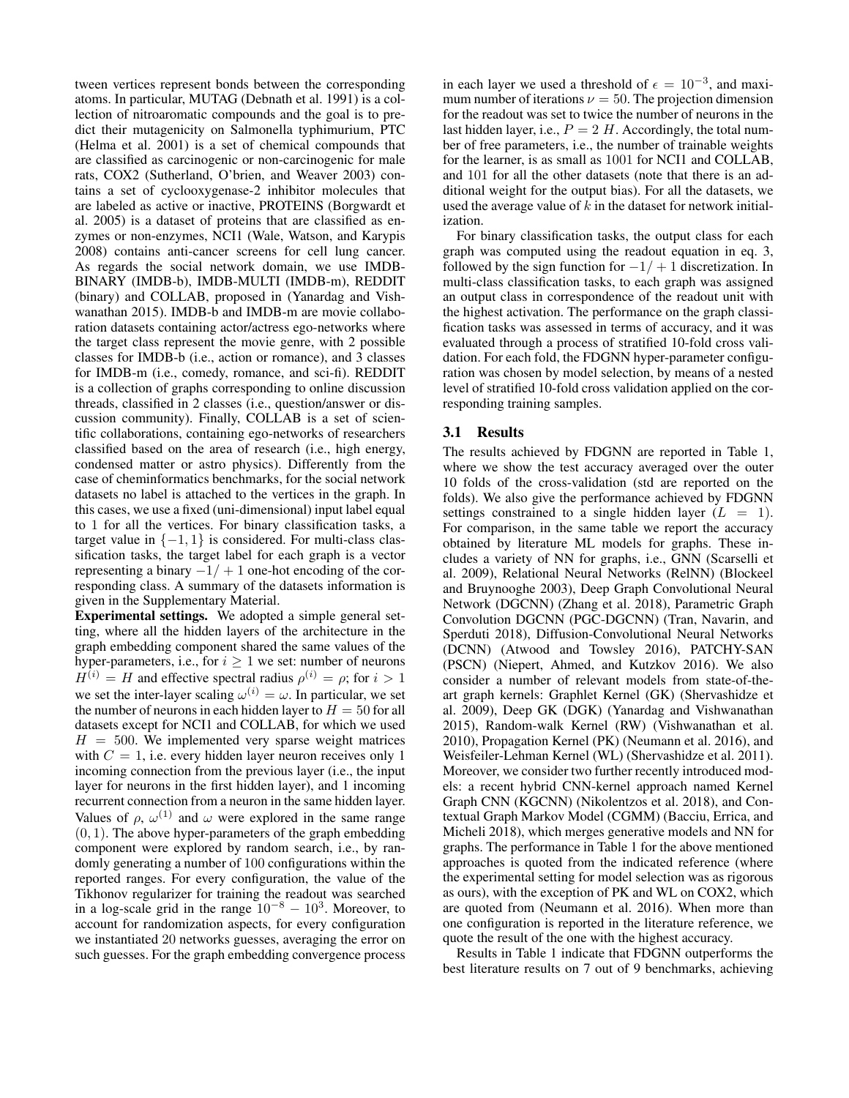tween vertices represent bonds between the corresponding atoms. In particular, MUTAG (Debnath et al. 1991) is a collection of nitroaromatic compounds and the goal is to predict their mutagenicity on Salmonella typhimurium, PTC (Helma et al. 2001) is a set of chemical compounds that are classified as carcinogenic or non-carcinogenic for male rats, COX2 (Sutherland, O'brien, and Weaver 2003) contains a set of cyclooxygenase-2 inhibitor molecules that are labeled as active or inactive, PROTEINS (Borgwardt et al. 2005) is a dataset of proteins that are classified as enzymes or non-enzymes, NCI1 (Wale, Watson, and Karypis 2008) contains anti-cancer screens for cell lung cancer. As regards the social network domain, we use IMDB-BINARY (IMDB-b), IMDB-MULTI (IMDB-m), REDDIT (binary) and COLLAB, proposed in (Yanardag and Vishwanathan 2015). IMDB-b and IMDB-m are movie collaboration datasets containing actor/actress ego-networks where the target class represent the movie genre, with 2 possible classes for IMDB-b (i.e., action or romance), and 3 classes for IMDB-m (i.e., comedy, romance, and sci-fi). REDDIT is a collection of graphs corresponding to online discussion threads, classified in 2 classes (i.e., question/answer or discussion community). Finally, COLLAB is a set of scientific collaborations, containing ego-networks of researchers classified based on the area of research (i.e., high energy, condensed matter or astro physics). Differently from the case of cheminformatics benchmarks, for the social network datasets no label is attached to the vertices in the graph. In this cases, we use a fixed (uni-dimensional) input label equal to 1 for all the vertices. For binary classification tasks, a target value in  $\{-1, 1\}$  is considered. For multi-class classification tasks, the target label for each graph is a vector representing a binary  $-1/ + 1$  one-hot encoding of the corresponding class. A summary of the datasets information is given in the Supplementary Material.

Experimental settings. We adopted a simple general setting, where all the hidden layers of the architecture in the graph embedding component shared the same values of the hyper-parameters, i.e., for  $i \geq 1$  we set: number of neurons  $H^{(i)} = H$  and effective spectral radius  $\rho^{(i)} = \rho$ ; for  $i > 1$ we set the inter-layer scaling  $\omega^{(i)} = \omega$ . In particular, we set the number of neurons in each hidden layer to  $H = 50$  for all datasets except for NCI1 and COLLAB, for which we used  $H = 500$ . We implemented very sparse weight matrices with  $C = 1$ , i.e. every hidden layer neuron receives only 1 incoming connection from the previous layer (i.e., the input layer for neurons in the first hidden layer), and 1 incoming recurrent connection from a neuron in the same hidden layer. Values of  $\rho$ ,  $\omega^{(1)}$  and  $\omega$  were explored in the same range  $(0, 1)$ . The above hyper-parameters of the graph embedding component were explored by random search, i.e., by randomly generating a number of 100 configurations within the reported ranges. For every configuration, the value of the Tikhonov regularizer for training the readout was searched in a log-scale grid in the range  $10^{-8} - 10^{3}$ . Moreover, to account for randomization aspects, for every configuration we instantiated 20 networks guesses, averaging the error on such guesses. For the graph embedding convergence process

in each layer we used a threshold of  $\epsilon = 10^{-3}$ , and maximum number of iterations  $\nu = 50$ . The projection dimension for the readout was set to twice the number of neurons in the last hidden layer, i.e.,  $P = 2$  H. Accordingly, the total number of free parameters, i.e., the number of trainable weights for the learner, is as small as 1001 for NCI1 and COLLAB, and 101 for all the other datasets (note that there is an additional weight for the output bias). For all the datasets, we used the average value of  $k$  in the dataset for network initialization.

For binary classification tasks, the output class for each graph was computed using the readout equation in eq. 3, followed by the sign function for  $-1/ + 1$  discretization. In multi-class classification tasks, to each graph was assigned an output class in correspondence of the readout unit with the highest activation. The performance on the graph classification tasks was assessed in terms of accuracy, and it was evaluated through a process of stratified 10-fold cross validation. For each fold, the FDGNN hyper-parameter configuration was chosen by model selection, by means of a nested level of stratified 10-fold cross validation applied on the corresponding training samples.

## 3.1 Results

The results achieved by FDGNN are reported in Table 1, where we show the test accuracy averaged over the outer 10 folds of the cross-validation (std are reported on the folds). We also give the performance achieved by FDGNN settings constrained to a single hidden layer  $(L = 1)$ . For comparison, in the same table we report the accuracy obtained by literature ML models for graphs. These includes a variety of NN for graphs, i.e., GNN (Scarselli et al. 2009), Relational Neural Networks (RelNN) (Blockeel and Bruynooghe 2003), Deep Graph Convolutional Neural Network (DGCNN) (Zhang et al. 2018), Parametric Graph Convolution DGCNN (PGC-DGCNN) (Tran, Navarin, and Sperduti 2018), Diffusion-Convolutional Neural Networks (DCNN) (Atwood and Towsley 2016), PATCHY-SAN (PSCN) (Niepert, Ahmed, and Kutzkov 2016). We also consider a number of relevant models from state-of-theart graph kernels: Graphlet Kernel (GK) (Shervashidze et al. 2009), Deep GK (DGK) (Yanardag and Vishwanathan 2015), Random-walk Kernel (RW) (Vishwanathan et al. 2010), Propagation Kernel (PK) (Neumann et al. 2016), and Weisfeiler-Lehman Kernel (WL) (Shervashidze et al. 2011). Moreover, we consider two further recently introduced models: a recent hybrid CNN-kernel approach named Kernel Graph CNN (KGCNN) (Nikolentzos et al. 2018), and Contextual Graph Markov Model (CGMM) (Bacciu, Errica, and Micheli 2018), which merges generative models and NN for graphs. The performance in Table 1 for the above mentioned approaches is quoted from the indicated reference (where the experimental setting for model selection was as rigorous as ours), with the exception of PK and WL on COX2, which are quoted from (Neumann et al. 2016). When more than one configuration is reported in the literature reference, we quote the result of the one with the highest accuracy.

Results in Table 1 indicate that FDGNN outperforms the best literature results on 7 out of 9 benchmarks, achieving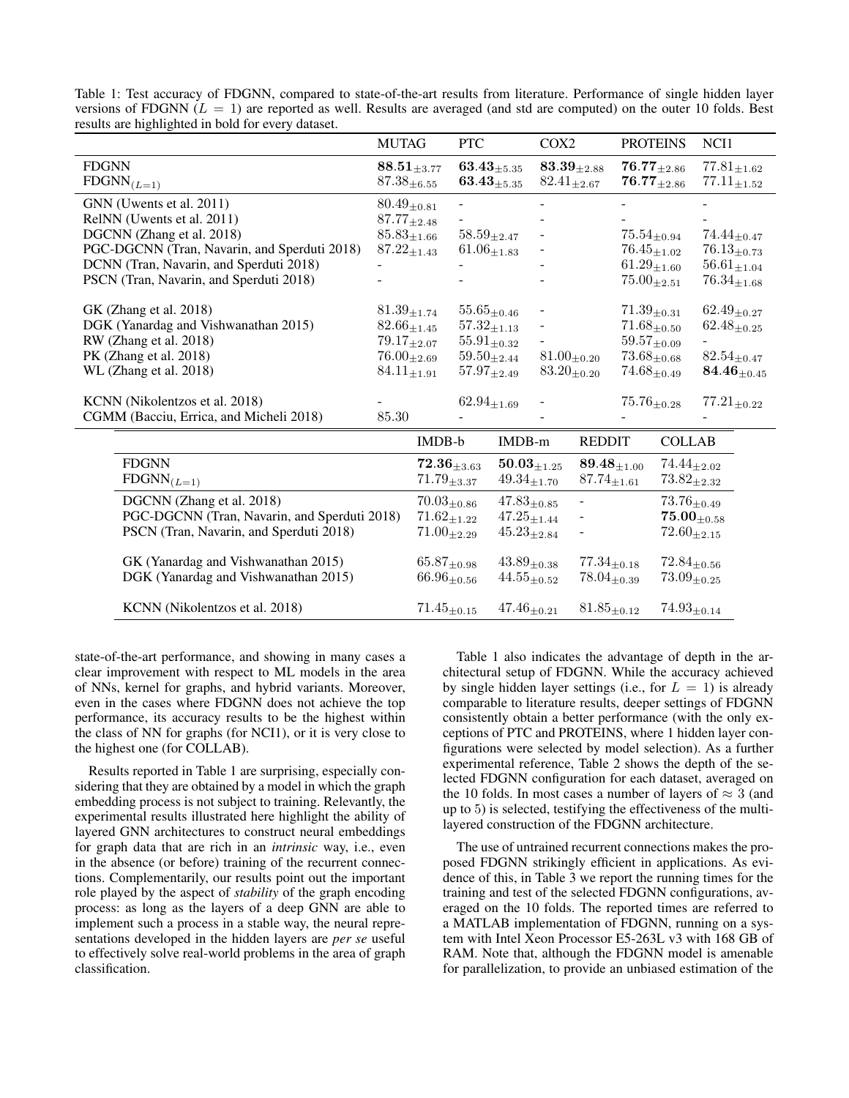|                                              | <b>MUTAG</b>                | <b>PTC</b>         | COX <sub>2</sub>         | <b>PROTEINS</b>             | NCI1               |
|----------------------------------------------|-----------------------------|--------------------|--------------------------|-----------------------------|--------------------|
| <b>FDGNN</b>                                 | $\textbf{88.51}_{\pm 3.77}$ | $63.43_{\pm 5.35}$ | $83.39_{\pm 2.88}$       | $\textbf{76.77}_{\pm 2.86}$ | $77.81_{\pm 1.62}$ |
| $FDSNN_{(L=1)}$                              | $87.38_{\pm 6.55}$          | $63.43_{\pm 5.35}$ | $82.41_{\pm 2.67}$       | ${\bf 76.77}_{\pm 2.86}$    | $77.11_{\pm 1.52}$ |
| GNN (Uwents et al. 2011)                     | $80.49_{\pm 0.81}$          |                    |                          |                             |                    |
| RelNN (Uwents et al. 2011)                   | $87.77_{\pm 2.48}$          |                    |                          |                             |                    |
| DGCNN (Zhang et al. 2018)                    | $85.83_{\pm 1.66}$          | $58.59_{\pm 2.47}$ |                          | $75.54_{\pm0.94}$           | $74.44_{\pm 0.47}$ |
| PGC-DGCNN (Tran, Navarin, and Sperduti 2018) | $87.22_{\pm 1.43}$          | $61.06_{\pm 1.83}$ | $\overline{\phantom{a}}$ | $76.45_{\pm 1.02}$          | $76.13_{\pm 0.73}$ |
| DCNN (Tran, Navarin, and Sperduti 2018)      | ۰                           |                    |                          | $61.29_{\pm 1.60}$          | $56.61_{\pm 1.04}$ |
| PSCN (Tran, Navarin, and Sperduti 2018)      |                             |                    |                          | $75.00_{\pm 2.51}$          | $76.34_{\pm 1.68}$ |
| GK (Zhang et al. 2018)                       | $81.39_{\pm 1.74}$          | $55.65_{\pm 0.46}$ |                          | $71.39_{\pm 0.31}$          | $62.49_{\pm 0.27}$ |
| DGK (Yanardag and Vishwanathan 2015)         | $82.66_{\pm 1.45}$          | $57.32_{\pm 1.13}$ | $\overline{\phantom{a}}$ | $71.68_{\pm 0.50}$          | $62.48_{\pm 0.25}$ |
| RW (Zhang et al. 2018)                       | $79.17_{\pm 2.07}$          | $55.91_{+0.32}$    |                          | $59.57_{\pm 0.09}$          |                    |
| PK (Zhang et al. 2018)                       | $76.00_{\pm 2.69}$          | $59.50_{\pm 2.44}$ | $81.00_{\pm 0.20}$       | $73.68_{\pm 0.68}$          | $82.54_{\pm 0.47}$ |
| WL (Zhang et al. 2018)                       | $84.11_{\pm 1.91}$          | $57.97_{\pm 2.49}$ | $83.20_{\pm 0.20}$       | $74.68_{\pm 0.49}$          | $84.46_{\pm 0.45}$ |
| KCNN (Nikolentzos et al. 2018)               |                             | $62.94_{\pm 1.69}$ |                          | $75.76_{\pm 0.28}$          | $77.21_{\pm 0.22}$ |
| CGMM (Bacciu, Errica, and Micheli 2018)      | 85.30                       |                    |                          |                             |                    |
|                                              |                             |                    |                          |                             |                    |

Table 1: Test accuracy of FDGNN, compared to state-of-the-art results from literature. Performance of single hidden layer versions of FDGNN ( $L = 1$ ) are reported as well. Results are averaged (and std are computed) on the outer 10 folds. Best results are highlighted in bold for every dataset.

|                                              | <b>IMDB-b</b>      | $IMDB-m$           | <b>REDDIT</b>            | <b>COLLAB</b>      |
|----------------------------------------------|--------------------|--------------------|--------------------------|--------------------|
| <b>FDGNN</b>                                 | $72.36_{+3.63}$    | $50.03_{\pm 1.25}$ | $89.48_{+1.00}$          | $74.44_{+2.02}$    |
| $FDSNN_{(L=1)}$                              | $71.79_{\pm 3.37}$ | $49.34_{+1.70}$    | $87.74_{+1.61}$          | $73.82_{\pm 2.32}$ |
| DGCNN (Zhang et al. 2018)                    | $70.03_{\pm 0.86}$ | $47.83_{\pm 0.85}$ | $\overline{\phantom{a}}$ | $73.76_{+0.49}$    |
| PGC-DGCNN (Tran, Navarin, and Sperduti 2018) | $71.62_{+1.22}$    | $47.25_{+1.44}$    |                          | $75.00_{+0.58}$    |
| PSCN (Tran, Navarin, and Sperduti 2018)      | $71.00_{\pm 2.29}$ | $45.23_{+2.84}$    |                          | $72.60_{+2.15}$    |
| GK (Yanardag and Vishwanathan 2015)          | $65.87_{+0.98}$    | $43.89_{\pm 0.38}$ | $77.34_{+0.18}$          | $72.84_{\pm 0.56}$ |
| DGK (Yanardag and Vishwanathan 2015)         | $66.96_{\pm 0.56}$ | $44.55_{+0.52}$    | $78.04_{+0.39}$          | $73.09_{+0.25}$    |
| KCNN (Nikolentzos et al. 2018)               | $71.45_{+0.15}$    | $47.46_{+0.21}$    | $81.85_{+0.12}$          | $74.93_{+0.14}$    |

state-of-the-art performance, and showing in many cases a clear improvement with respect to ML models in the area of NNs, kernel for graphs, and hybrid variants. Moreover, even in the cases where FDGNN does not achieve the top performance, its accuracy results to be the highest within the class of NN for graphs (for NCI1), or it is very close to the highest one (for COLLAB).

Results reported in Table 1 are surprising, especially considering that they are obtained by a model in which the graph embedding process is not subject to training. Relevantly, the experimental results illustrated here highlight the ability of layered GNN architectures to construct neural embeddings for graph data that are rich in an *intrinsic* way, i.e., even in the absence (or before) training of the recurrent connections. Complementarily, our results point out the important role played by the aspect of *stability* of the graph encoding process: as long as the layers of a deep GNN are able to implement such a process in a stable way, the neural representations developed in the hidden layers are *per se* useful to effectively solve real-world problems in the area of graph classification.

Table 1 also indicates the advantage of depth in the architectural setup of FDGNN. While the accuracy achieved by single hidden layer settings (i.e., for  $L = 1$ ) is already comparable to literature results, deeper settings of FDGNN consistently obtain a better performance (with the only exceptions of PTC and PROTEINS, where 1 hidden layer configurations were selected by model selection). As a further experimental reference, Table 2 shows the depth of the selected FDGNN configuration for each dataset, averaged on the 10 folds. In most cases a number of layers of  $\approx 3$  (and up to 5) is selected, testifying the effectiveness of the multilayered construction of the FDGNN architecture.

The use of untrained recurrent connections makes the proposed FDGNN strikingly efficient in applications. As evidence of this, in Table 3 we report the running times for the training and test of the selected FDGNN configurations, averaged on the 10 folds. The reported times are referred to a MATLAB implementation of FDGNN, running on a system with Intel Xeon Processor E5-263L v3 with 168 GB of RAM. Note that, although the FDGNN model is amenable for parallelization, to provide an unbiased estimation of the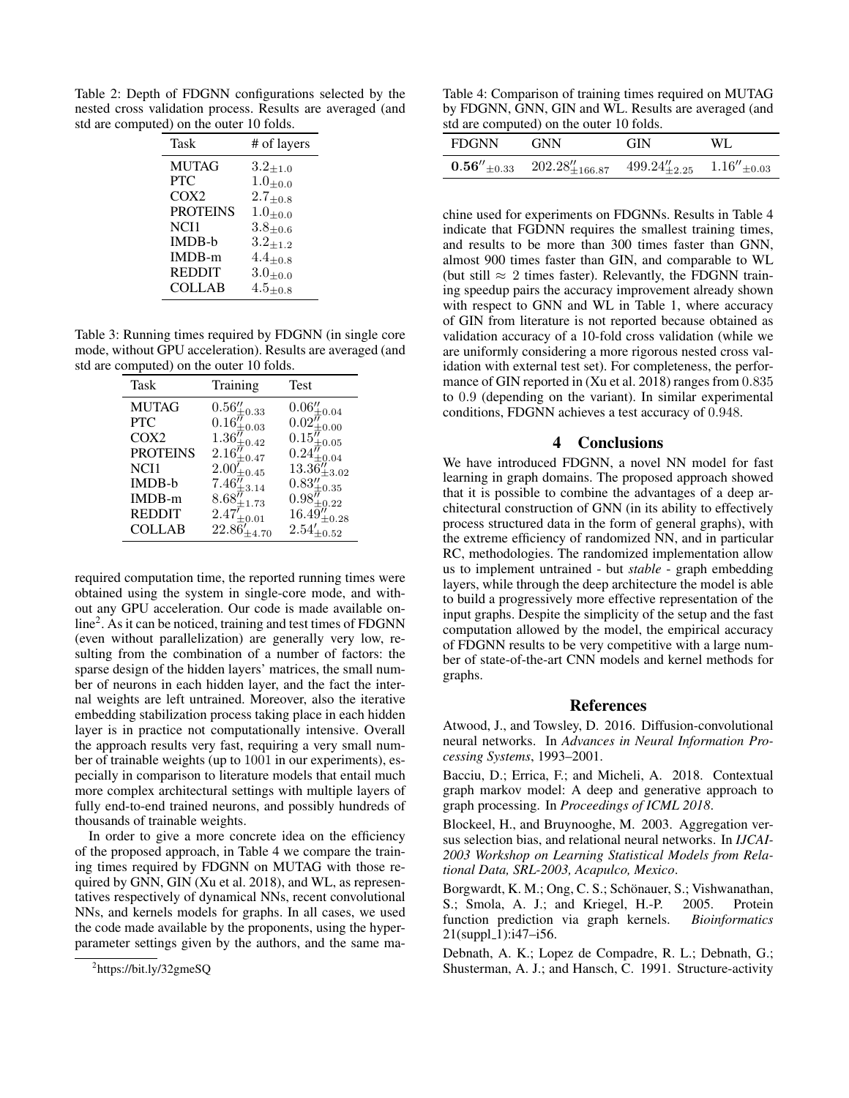Table 2: Depth of FDGNN configurations selected by the nested cross validation process. Results are averaged (and std are computed) on the outer 10 folds.

| Task             | # of layers     |
|------------------|-----------------|
| <b>MUTAG</b>     | $3.2_{\pm 1.0}$ |
| <b>PTC</b>       | $1.0_{\pm 0.0}$ |
| COX <sub>2</sub> | $2.7_{\pm 0.8}$ |
| <b>PROTEINS</b>  | $1.0_{\pm 0.0}$ |
| NCI1             | $3.8_{\pm 0.6}$ |
| <b>IMDB-b</b>    | $3.2_{\pm 1.2}$ |
| IMDB-m           | $4.4_{\pm 0.8}$ |
| <b>REDDIT</b>    | $3.0_{\pm 0.0}$ |
| COLLAB           | $4.5_{+0.8}$    |

Table 3: Running times required by FDGNN (in single core mode, without GPU acceleration). Results are averaged (and std are computed) on the outer 10 folds.

| Task             | Training                                                      | Test                                   |
|------------------|---------------------------------------------------------------|----------------------------------------|
| <b>MUTAG</b>     | $0.56_{\pm0.33}^{\prime\prime}$                               | $0.06''_{\pm 0.04}$                    |
| <b>PTC</b>       | $0.16_{\pm0.03}^{\prime\prime}$                               | $0.02_{\pm0.00}^{\prime\prime}$        |
| COX <sub>2</sub> | $1.36^{\ensuremath{\textit{\prime\prime}}\xspace}_{\pm 0.42}$ | $0.15^{\prime\prime}_{\pm0.05}$        |
| <b>PROTEINS</b>  | $2.16\%_{\pm0.47}$                                            | $0.24_{\pm0.04}^{\prime\prime}$        |
| NCI1             | $2.00\rule{0pt}{0pt}^{\prime}_{\pm0.45}$                      | $13.36''_{\pm 3.02}$                   |
| IMDB-b           | $7.46_{\pm3.14}^{\prime\prime}$                               | $0.83_{\pm0.35}^{\prime\prime}$        |
| IMDB-m           | $8.68^{\bar{\jmath}}_{\pm1.73}$                               | $0.98\ensuremath{''}\xspace_{\pm0.22}$ |
| <b>REDDIT</b>    | $2.47_{\pm0.01}^{\prime}$                                     | $16.49''_{\pm 0.28}$                   |
| <b>COLLAB</b>    | $22.86'_{+4.70}$                                              | $2.54'_{\pm 0.52}$                     |

required computation time, the reported running times were obtained using the system in single-core mode, and without any GPU acceleration. Our code is made available online<sup>2</sup> . As it can be noticed, training and test times of FDGNN (even without parallelization) are generally very low, resulting from the combination of a number of factors: the sparse design of the hidden layers' matrices, the small number of neurons in each hidden layer, and the fact the internal weights are left untrained. Moreover, also the iterative embedding stabilization process taking place in each hidden layer is in practice not computationally intensive. Overall the approach results very fast, requiring a very small number of trainable weights (up to 1001 in our experiments), especially in comparison to literature models that entail much more complex architectural settings with multiple layers of fully end-to-end trained neurons, and possibly hundreds of thousands of trainable weights.

In order to give a more concrete idea on the efficiency of the proposed approach, in Table 4 we compare the training times required by FDGNN on MUTAG with those required by GNN, GIN (Xu et al. 2018), and WL, as representatives respectively of dynamical NNs, recent convolutional NNs, and kernels models for graphs. In all cases, we used the code made available by the proponents, using the hyperparameter settings given by the authors, and the same ma-

Table 4: Comparison of training times required on MUTAG by FDGNN, GNN, GIN and WL. Results are averaged (and std are computed) on the outer 10 folds.

| <b>FDGNN</b> | <b>GNN</b>                                  | <b>GIN</b>                                | WL. |
|--------------|---------------------------------------------|-------------------------------------------|-----|
|              | $0.56''_{\pm 0.33}$ $202.28''_{\pm 166.87}$ | $499.24''_{\pm 2.25}$ $1.16''_{\pm 0.03}$ |     |

chine used for experiments on FDGNNs. Results in Table 4 indicate that FGDNN requires the smallest training times, and results to be more than 300 times faster than GNN, almost 900 times faster than GIN, and comparable to WL (but still  $\approx 2$  times faster). Relevantly, the FDGNN training speedup pairs the accuracy improvement already shown with respect to GNN and WL in Table 1, where accuracy of GIN from literature is not reported because obtained as validation accuracy of a 10-fold cross validation (while we are uniformly considering a more rigorous nested cross validation with external test set). For completeness, the performance of GIN reported in (Xu et al. 2018) ranges from 0.835 to 0.9 (depending on the variant). In similar experimental conditions, FDGNN achieves a test accuracy of 0.948.

### 4 Conclusions

We have introduced FDGNN, a novel NN model for fast learning in graph domains. The proposed approach showed that it is possible to combine the advantages of a deep architectural construction of GNN (in its ability to effectively process structured data in the form of general graphs), with the extreme efficiency of randomized NN, and in particular RC, methodologies. The randomized implementation allow us to implement untrained - but *stable* - graph embedding layers, while through the deep architecture the model is able to build a progressively more effective representation of the input graphs. Despite the simplicity of the setup and the fast computation allowed by the model, the empirical accuracy of FDGNN results to be very competitive with a large number of state-of-the-art CNN models and kernel methods for graphs.

#### References

Atwood, J., and Towsley, D. 2016. Diffusion-convolutional neural networks. In *Advances in Neural Information Processing Systems*, 1993–2001.

Bacciu, D.; Errica, F.; and Micheli, A. 2018. Contextual graph markov model: A deep and generative approach to graph processing. In *Proceedings of ICML 2018*.

Blockeel, H., and Bruynooghe, M. 2003. Aggregation versus selection bias, and relational neural networks. In *IJCAI-2003 Workshop on Learning Statistical Models from Relational Data, SRL-2003, Acapulco, Mexico*.

Borgwardt, K. M.; Ong, C. S.; Schönauer, S.; Vishwanathan, S.; Smola, A. J.; and Kriegel, H.-P. 2005. Protein function prediction via graph kernels. *Bioinformatics*  $21(suppl_1):i47-i56.$ 

Debnath, A. K.; Lopez de Compadre, R. L.; Debnath, G.; Shusterman, A. J.; and Hansch, C. 1991. Structure-activity

<sup>&</sup>lt;sup>2</sup>https://bit.ly/32gmeSQ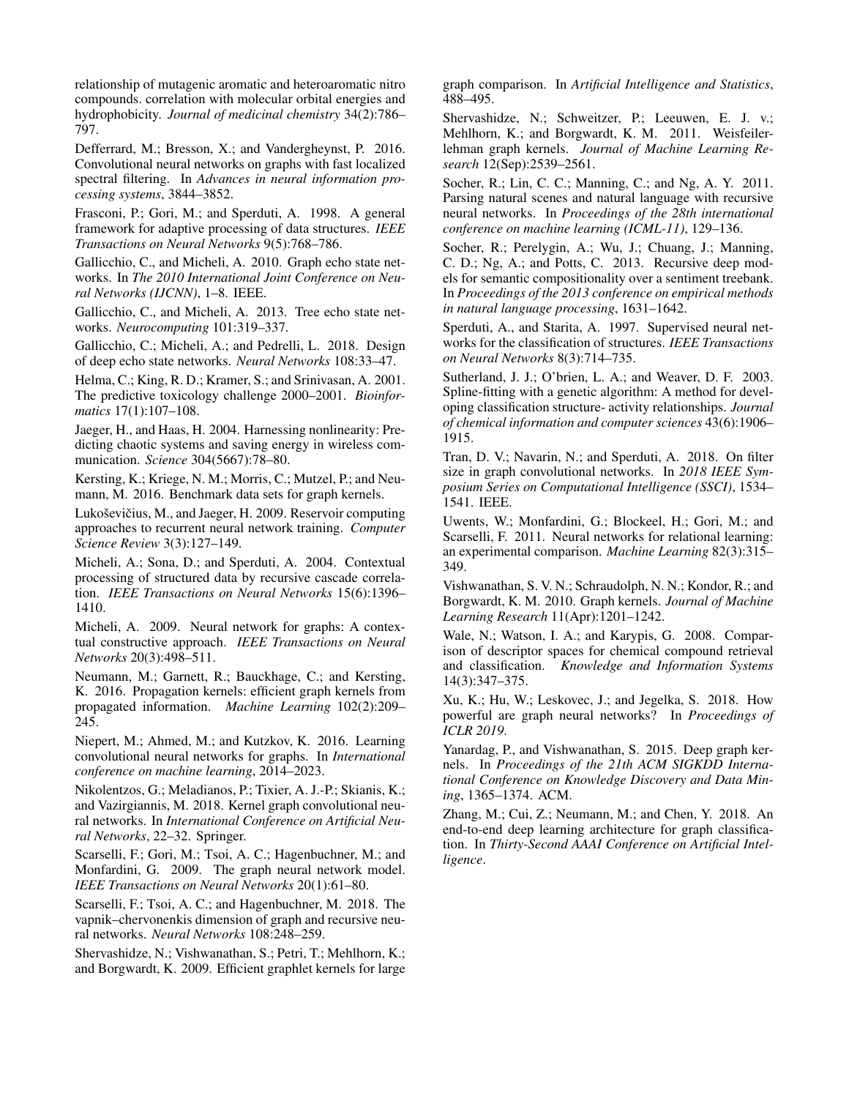relationship of mutagenic aromatic and heteroaromatic nitro compounds. correlation with molecular orbital energies and hydrophobicity. *Journal of medicinal chemistry* 34(2):786– 797.

Defferrard, M.; Bresson, X.; and Vandergheynst, P. 2016. Convolutional neural networks on graphs with fast localized spectral filtering. In *Advances in neural information processing systems*, 3844–3852.

Frasconi, P.; Gori, M.; and Sperduti, A. 1998. A general framework for adaptive processing of data structures. *IEEE Transactions on Neural Networks* 9(5):768–786.

Gallicchio, C., and Micheli, A. 2010. Graph echo state networks. In *The 2010 International Joint Conference on Neural Networks (IJCNN)*, 1–8. IEEE.

Gallicchio, C., and Micheli, A. 2013. Tree echo state networks. *Neurocomputing* 101:319–337.

Gallicchio, C.; Micheli, A.; and Pedrelli, L. 2018. Design of deep echo state networks. *Neural Networks* 108:33–47.

Helma, C.; King, R. D.; Kramer, S.; and Srinivasan, A. 2001. The predictive toxicology challenge 2000–2001. *Bioinformatics* 17(1):107–108.

Jaeger, H., and Haas, H. 2004. Harnessing nonlinearity: Predicting chaotic systems and saving energy in wireless communication. *Science* 304(5667):78–80.

Kersting, K.; Kriege, N. M.; Morris, C.; Mutzel, P.; and Neumann, M. 2016. Benchmark data sets for graph kernels.

Lukoševičius, M., and Jaeger, H. 2009. Reservoir computing approaches to recurrent neural network training. *Computer Science Review* 3(3):127–149.

Micheli, A.; Sona, D.; and Sperduti, A. 2004. Contextual processing of structured data by recursive cascade correlation. *IEEE Transactions on Neural Networks* 15(6):1396– 1410.

Micheli, A. 2009. Neural network for graphs: A contextual constructive approach. *IEEE Transactions on Neural Networks* 20(3):498–511.

Neumann, M.; Garnett, R.; Bauckhage, C.; and Kersting, K. 2016. Propagation kernels: efficient graph kernels from propagated information. *Machine Learning* 102(2):209– 245.

Niepert, M.; Ahmed, M.; and Kutzkov, K. 2016. Learning convolutional neural networks for graphs. In *International conference on machine learning*, 2014–2023.

Nikolentzos, G.; Meladianos, P.; Tixier, A. J.-P.; Skianis, K.; and Vazirgiannis, M. 2018. Kernel graph convolutional neural networks. In *International Conference on Artificial Neural Networks*, 22–32. Springer.

Scarselli, F.; Gori, M.; Tsoi, A. C.; Hagenbuchner, M.; and Monfardini, G. 2009. The graph neural network model. *IEEE Transactions on Neural Networks* 20(1):61–80.

Scarselli, F.; Tsoi, A. C.; and Hagenbuchner, M. 2018. The vapnik–chervonenkis dimension of graph and recursive neural networks. *Neural Networks* 108:248–259.

Shervashidze, N.; Vishwanathan, S.; Petri, T.; Mehlhorn, K.; and Borgwardt, K. 2009. Efficient graphlet kernels for large graph comparison. In *Artificial Intelligence and Statistics*, 488–495.

Shervashidze, N.; Schweitzer, P.; Leeuwen, E. J. v.; Mehlhorn, K.; and Borgwardt, K. M. 2011. Weisfeilerlehman graph kernels. *Journal of Machine Learning Research* 12(Sep):2539–2561.

Socher, R.; Lin, C. C.; Manning, C.; and Ng, A. Y. 2011. Parsing natural scenes and natural language with recursive neural networks. In *Proceedings of the 28th international conference on machine learning (ICML-11)*, 129–136.

Socher, R.; Perelygin, A.; Wu, J.; Chuang, J.; Manning, C. D.; Ng, A.; and Potts, C. 2013. Recursive deep models for semantic compositionality over a sentiment treebank. In *Proceedings of the 2013 conference on empirical methods in natural language processing*, 1631–1642.

Sperduti, A., and Starita, A. 1997. Supervised neural networks for the classification of structures. *IEEE Transactions on Neural Networks* 8(3):714–735.

Sutherland, J. J.; O'brien, L. A.; and Weaver, D. F. 2003. Spline-fitting with a genetic algorithm: A method for developing classification structure- activity relationships. *Journal of chemical information and computer sciences* 43(6):1906– 1915.

Tran, D. V.; Navarin, N.; and Sperduti, A. 2018. On filter size in graph convolutional networks. In *2018 IEEE Symposium Series on Computational Intelligence (SSCI)*, 1534– 1541. IEEE.

Uwents, W.; Monfardini, G.; Blockeel, H.; Gori, M.; and Scarselli, F. 2011. Neural networks for relational learning: an experimental comparison. *Machine Learning* 82(3):315– 349.

Vishwanathan, S. V. N.; Schraudolph, N. N.; Kondor, R.; and Borgwardt, K. M. 2010. Graph kernels. *Journal of Machine Learning Research* 11(Apr):1201–1242.

Wale, N.; Watson, I. A.; and Karypis, G. 2008. Comparison of descriptor spaces for chemical compound retrieval and classification. *Knowledge and Information Systems* 14(3):347–375.

Xu, K.; Hu, W.; Leskovec, J.; and Jegelka, S. 2018. How powerful are graph neural networks? In *Proceedings of ICLR 2019*.

Yanardag, P., and Vishwanathan, S. 2015. Deep graph kernels. In *Proceedings of the 21th ACM SIGKDD International Conference on Knowledge Discovery and Data Mining*, 1365–1374. ACM.

Zhang, M.; Cui, Z.; Neumann, M.; and Chen, Y. 2018. An end-to-end deep learning architecture for graph classification. In *Thirty-Second AAAI Conference on Artificial Intelligence*.